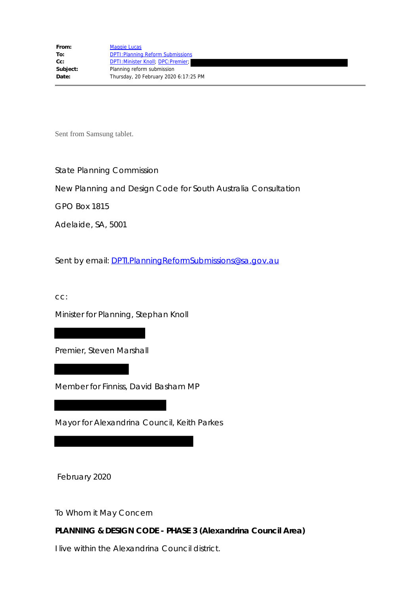Sent from Samsung tablet.

State Planning Commission

New Planning and Design Code for South Australia Consultation

GPO Box 1815

Adelaide, SA, 5001

Sent by email: DPTI.PlanningReformSubmissions@sa.gov.au

cc:

Minister for Planning, Stephan Knoll

Premier, Steven Marshall

Member for Finniss, David Basham MP

Mayor for Alexandrina Council, Keith Parkes

February 2020

To Whom it May Concern

**PLANNING & DESIGN CODE - PHASE 3 (Alexandrina Council Area)**

I live within the Alexandrina Council district.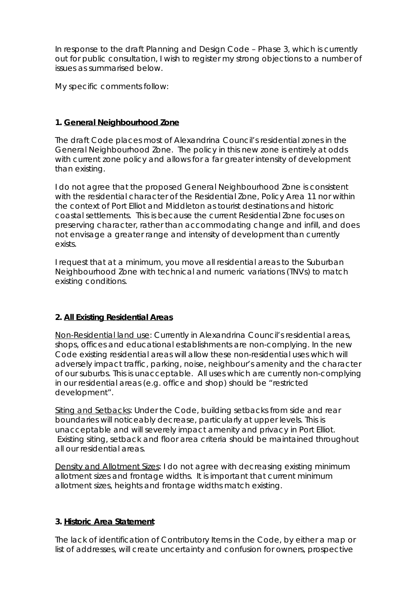In response to the draft Planning and Design Code – Phase 3, which is currently out for public consultation, I wish to register my strong objections to a number of issues as summarised below.

My specific comments follow:

# **1. General Neighbourhood Zone**

The draft Code places most of Alexandrina Council's residential zones in the General Neighbourhood Zone. The policy in this new zone is entirely at odds with current zone policy and allows for a far greater intensity of development than existing.

I do not agree that the proposed General Neighbourhood Zone is consistent with the residential character of the Residential Zone, Policy Area 11 nor within the context of Port Elliot and Middleton as tourist destinations and historic coastal settlements. This is because the current Residential Zone focuses on preserving character, rather than accommodating change and infill, and does not envisage a greater range and intensity of development than currently exists.

I request that at a minimum, you move all residential areas to the Suburban Neighbourhood Zone with technical and numeric variations (TNVs) to match existing conditions.

## **2. All Existing Residential Areas**

Non-Residential land use: Currently in Alexandrina Council's residential areas, shops, offices and educational establishments are non-complying. In the new Code existing residential areas will allow these non-residential uses which will adversely impact traffic, parking, noise, neighbour's amenity and the character of our suburbs. This is unacceptable. All uses which are currently non-complying in our residential areas (e.g. office and shop) should be "restricted development".

Siting and Setbacks: Under the Code, building setbacks from side and rear boundaries will noticeably decrease, particularly at upper levels. This is unacceptable and will severely impact amenity and privacy in Port Elliot. Existing siting, setback and floor area criteria should be maintained throughout all our residential areas.

Density and Allotment Sizes: I do not agree with decreasing existing minimum allotment sizes and frontage widths. It is important that current minimum allotment sizes, heights and frontage widths match existing.

## **3. Historic Area Statement**

The lack of identification of Contributory Items in the Code, by either a map or list of addresses, will create uncertainty and confusion for owners, prospective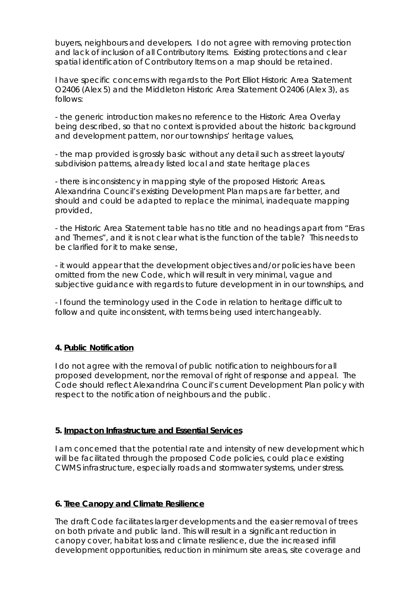buyers, neighbours and developers. I do not agree with removing protection and lack of inclusion of all Contributory Items. Existing protections and clear spatial identification of Contributory Items on a map should be retained.

I have specific concerns with regards to the Port Elliot Historic Area Statement O2406 (*Alex 5*) and the Middleton Historic Area Statement O2406 (*Alex 3*), as follows:

- the generic introduction makes no reference to the Historic Area Overlay being described, so that no context is provided about the historic background and development pattern, nor our townships' heritage values,

- the map provided is grossly basic without any detail such as street layouts/ subdivision patterns, already listed local and state heritage places

- there is inconsistency in mapping style of the proposed Historic Areas. Alexandrina Council's existing Development Plan maps are far better, and should and could be adapted to replace the minimal, inadequate mapping provided,

- the Historic Area Statement table has no title and no headings apart from "Eras and Themes", and it is not clear what is the function of the table? This needs to be clarified for it to make sense,

- it would appear that the development objectives and/or policies have been omitted from the new Code, which will result in very minimal, vague and subjective guidance with regards to future development in in our townships, and

- I found the terminology used in the Code in relation to heritage difficult to follow and quite inconsistent, with terms being used interchangeably.

## **4. Public Notification**

I do not agree with the removal of public notification to neighbours for all proposed development, nor the removal of right of response and appeal. The Code should reflect Alexandrina Council's current Development Plan policy with respect to the notification of neighbours and the public.

## **5. Impact on Infrastructure and Essential Services**

I am concerned that the potential rate and intensity of new development which will be facilitated through the proposed Code policies, could place existing CWMS infrastructure, especially roads and stormwater systems, under stress.

## **6. Tree Canopy and Climate Resilience**

The draft Code facilitates larger developments and the easier removal of trees on both private and public land. This will result in a significant reduction in canopy cover, habitat loss and climate resilience, due the increased infill development opportunities, reduction in minimum site areas, site coverage and